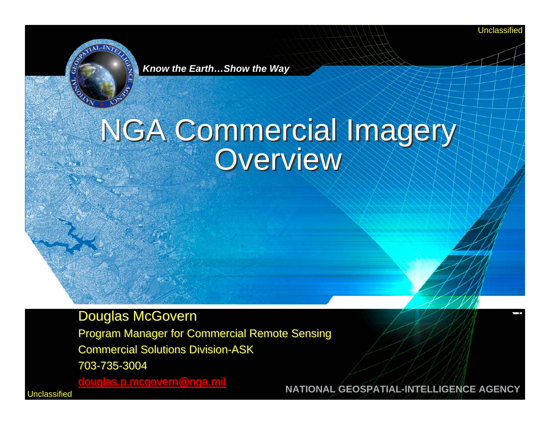Unclassified



*Know the Earth…Show the Way*

# NGA Commercial Imagery NGA Commercial Imagery Overview Overview

#### Douglas McGovern Douglas McGovern

Program Manager for Commercial Remote Sensing Program Manager for Commercial Remote Sensing Commercial Solutions Division-ASK 703-735-3004703-735-3004

[douglas.p.mcgovern@nga.mil](mailto:douglas.p.mcgovern@nga.mil) [douglas.p.mcgovern@nga.mil](mailto:douglas.p.mcgovern@nga.mil)

**Unclassified** 

**NATIONAL GEOSPATIAL-INTELLIGENCE AGENCY**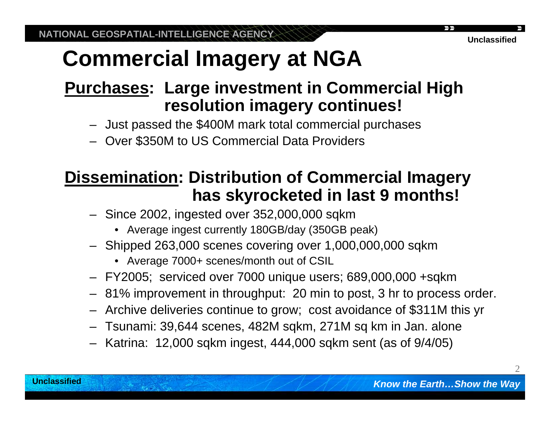### **Purchases: Large investment in Commercial High resolution imagery continues!**

- Just passed the \$400M mark total commercial purchases
- Over \$350M to US Commercial Data Providers

#### **Dissemination: Distribution of Commercial Imagery has skyrocketed in last 9 months!**

- Since 2002, ingested over 352,000,000 sqkm
	- Average ingest currently 180GB/day (350GB peak)
- Shipped 263,000 scenes covering over 1,000,000,000 sqkm
	- Average 7000+ scenes/month out of CSIL
- FY2005; serviced over 7000 unique users; 689,000,000 +sqkm
- 81% improvement in throughput: 20 min to post, 3 hr to process order.
- Archive deliveries continue to grow; cost avoidance of \$311M this yr
- Tsunami: 39,644 scenes, 482M sqkm, 271M sq km in Jan. alone
- Katrina: 12,000 sqkm ingest, 444,000 sqkm sent (as of 9/4/05)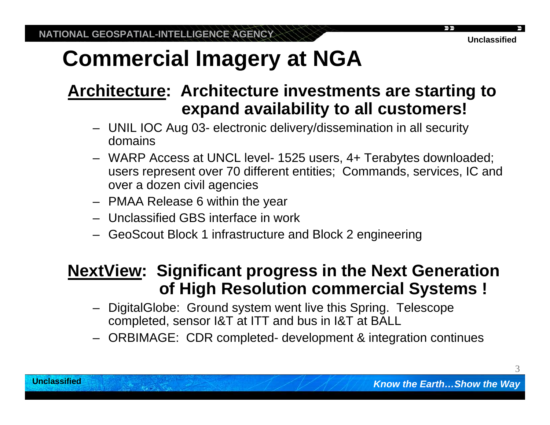#### **Architecture: Architecture investments are starting to expand availability to all customers!**

- UNIL IOC Aug 03- electronic delivery/dissemination in all security domains
- WARP Access at UNCL level- 1525 users, 4+ Terabytes downloaded; users represent over 70 different entities; Commands, services, IC and over a dozen civil agencies
- PMAA Release 6 within the year
- Unclassified GBS interface in work
- GeoScout Block 1 infrastructure and Block 2 engineering

#### **NextView: Significant progress in the Next Generation of High Resolution commercial Systems !**

- DigitalGlobe: Ground system went live this Spring. Telescope completed, sensor I&T at ITT and bus in I&T at BALL
- ORBIMAGE: CDR completed- development & integration continues

3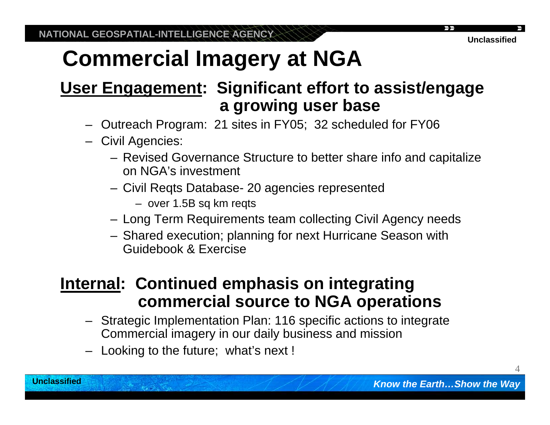#### **User Engagement: Significant effort to assist/engage a growing user base**

- Outreach Program: 21 sites in FY05; 32 scheduled for FY06
- Civil Agencies:
	- Revised Governance Structure to better share info and capitalize on NGA's investment
	- Civil Reqts Database- 20 agencies represented
		- over 1.5B sq km reqts
	- Long Term Requirements team collecting Civil Agency needs
	- Shared execution; planning for next Hurricane Season with Guidebook & Exercise

#### **Internal: Continued emphasis on integrating commercial source to NGA operations**

- Strategic Implementation Plan: 116 specific actions to integrate Commercial imagery in our daily business and mission
- Looking to the future; what's next !

4